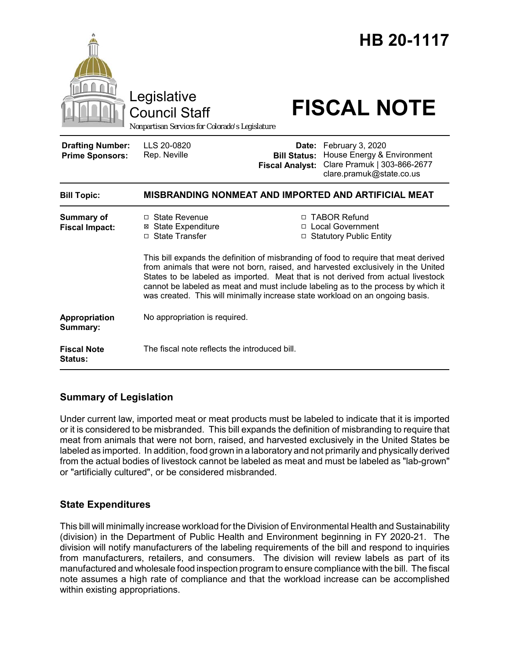

## **Summary of Legislation**

Under current law, imported meat or meat products must be labeled to indicate that it is imported or it is considered to be misbranded. This bill expands the definition of misbranding to require that meat from animals that were not born, raised, and harvested exclusively in the United States be labeled as imported. In addition, food grown in a laboratory and not primarily and physically derived from the actual bodies of livestock cannot be labeled as meat and must be labeled as "lab-grown" or "artificially cultured", or be considered misbranded.

## **State Expenditures**

This bill will minimally increase workload for the Division of Environmental Health and Sustainability (division) in the Department of Public Health and Environment beginning in FY 2020-21. The division will notify manufacturers of the labeling requirements of the bill and respond to inquiries from manufacturers, retailers, and consumers. The division will review labels as part of its manufactured and wholesale food inspection program to ensure compliance with the bill. The fiscal note assumes a high rate of compliance and that the workload increase can be accomplished within existing appropriations.